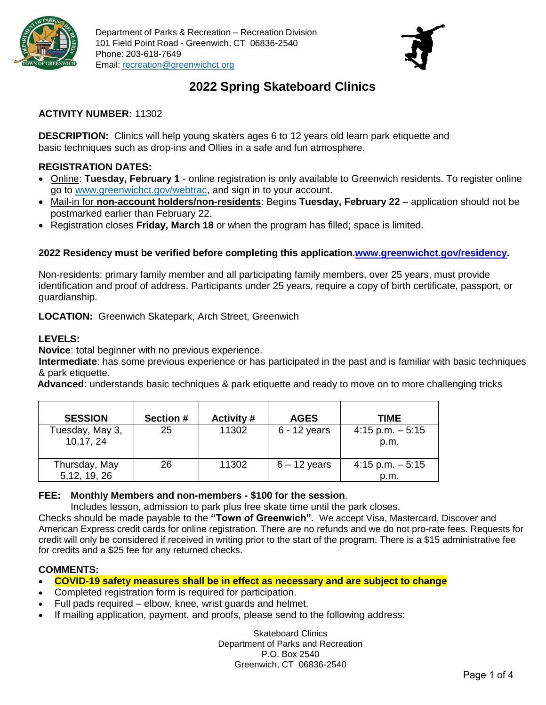



## **2022 Spring Skateboard Clinics**

## **ACTIVITY NUMBER:** 11302

**DESCRIPTION:** Clinics will help young skaters ages 6 to 12 years old learn park etiquette and basic techniques such as drop-ins and Ollies in a safe and fun atmosphere.

## **REGISTRATION DATES:**

- Online: **Tuesday, February 1** online registration is only available to Greenwich residents. To register online go to [www.greenwichct.gov/webtrac,](http://www.greenwichct.gov/webtrac) and sign in to your account.
- Mail-in for **non-account holders/non-residents**: Begins **Tuesday, February 22** application should not be postmarked earlier than February 22.
- Registration closes **Friday, March 18** or when the program has filled; space is limited.

## **2022 Residency must be verified before completing this application[.www.greenwichct.gov/residency.](http://www.greenwichct.gov/residency)**

Non-residents: primary family member and all participating family members, over 25 years, must provide identification and proof of address. Participants under 25 years, require a copy of birth certificate, passport, or guardianship.

### **LOCATION:** Greenwich Skatepark, Arch Street, Greenwich

### **LEVELS:**

**Novice**: total beginner with no previous experience.

 **Intermediate**: has some previous experience or has participated in the past and is familiar with basic techniques & park etiquette.

**Advanced**: understands basic techniques & park etiquette and ready to move on to more challenging tricks

| <b>SESSION</b>                 | <b>Section #</b> | <b>Activity #</b> | <b>AGES</b>    | TIME                        |
|--------------------------------|------------------|-------------------|----------------|-----------------------------|
| Tuesday, May 3,<br>10,17, 24   | 25               | 11302             | $6 - 12$ years | $4:15$ p.m. $-5:15$<br>p.m. |
| Thursday, May<br>5, 12, 19, 26 | 26               | 11302             | $6 - 12$ years | $4:15$ p.m. $-5:15$<br>p.m. |

### **FEE: Monthly Members and non-members - \$100 for the session**.

Includes lesson, admission to park plus free skate time until the park closes.

Checks should be made payable to the **"Town of Greenwich".** We accept Visa, Mastercard, Discover and American Express credit cards for online registration. There are no refunds and we do not pro-rate fees. Requests for credit will only be considered if received in writing prior to the start of the program. There is a \$15 administrative fee for credits and a \$25 fee for any returned checks.

## **COMMENTS:**

- **COVID-19 safety measures shall be in effect as necessary and are subject to change**
- Completed registration form is required for participation.
- Full pads required elbow, knee, wrist guards and helmet.
- If mailing application, payment, and proofs, please send to the following address:

Skateboard Clinics Department of Parks and Recreation P.O. Box 2540 Greenwich, CT 06836-2540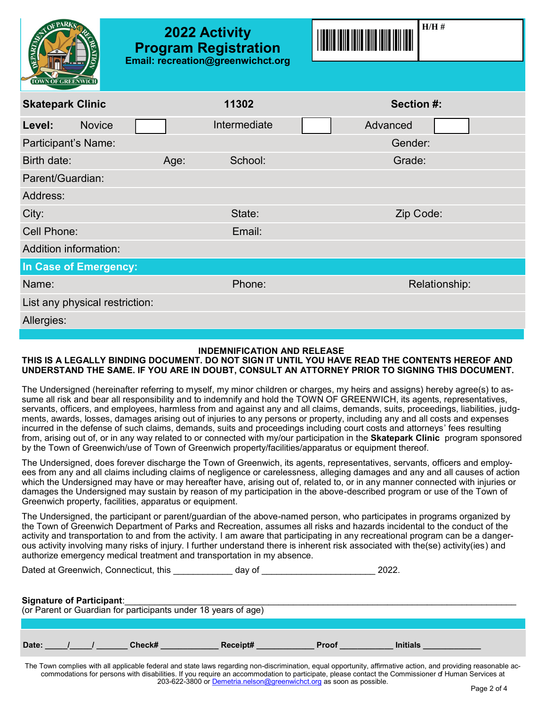| PARK<br><b>OEPARTING</b><br><b>TOWN OF GREENWICH</b> | <b>2022 Activity</b><br><b>Program Registration</b> | Email: recreation@greenwichct.org | $H/H$ #       |  |
|------------------------------------------------------|-----------------------------------------------------|-----------------------------------|---------------|--|
| <b>Skatepark Clinic</b>                              |                                                     | 11302                             | Section #:    |  |
| <b>Novice</b><br>Level:                              |                                                     | Intermediate                      | Advanced      |  |
| Participant's Name:                                  |                                                     |                                   | Gender:       |  |
| Birth date:                                          | Age:                                                | School:                           | Grade:        |  |
| Parent/Guardian:                                     |                                                     |                                   |               |  |
| Address:                                             |                                                     |                                   |               |  |
| City:                                                |                                                     | State:                            | Zip Code:     |  |
| Cell Phone:                                          |                                                     | Email:                            |               |  |
| <b>Addition information:</b>                         |                                                     |                                   |               |  |
| In Case of Emergency:                                |                                                     |                                   |               |  |
| Name:                                                |                                                     | Phone:                            | Relationship: |  |
| List any physical restriction:                       |                                                     |                                   |               |  |
| Allergies:                                           |                                                     |                                   |               |  |

#### **INDEMNIFICATION AND RELEASE**

#### **THIS IS A LEGALLY BINDING DOCUMENT. DO NOT SIGN IT UNTIL YOU HAVE READ THE CONTENTS HEREOF AND UNDERSTAND THE SAME. IF YOU ARE IN DOUBT, CONSULT AN ATTORNEY PRIOR TO SIGNING THIS DOCUMENT.**

The Undersigned (hereinafter referring to myself, my minor children or charges, my heirs and assigns) hereby agree(s) to assume all risk and bear all responsibility and to indemnify and hold the TOWN OF GREENWICH, its agents, representatives, servants, officers, and employees, harmless from and against any and all claims, demands, suits, proceedings, liabilities, judgments, awards, losses, damages arising out of injuries to any persons or property, including any and all costs and expenses incurred in the defense of such claims, demands, suits and proceedings including court costs and attorneys' fees resulting from, arising out of, or in any way related to or connected with my/our participation in the **Skatepark Clinic** program sponsored by the Town of Greenwich/use of Town of Greenwich property/facilities/apparatus or equipment thereof.

The Undersigned, does forever discharge the Town of Greenwich, its agents, representatives, servants, officers and employees from any and all claims including claims of negligence or carelessness, alleging damages and any and all causes of action which the Undersigned may have or may hereafter have, arising out of, related to, or in any manner connected with injuries or damages the Undersigned may sustain by reason of my participation in the above-described program or use of the Town of Greenwich property, facilities, apparatus or equipment.

The Undersigned, the participant or parent/guardian of the above-named person, who participates in programs organized by the Town of Greenwich Department of Parks and Recreation, assumes all risks and hazards incidental to the conduct of the activity and transportation to and from the activity. I am aware that participating in any recreational program can be a dangerous activity involving many risks of injury. I further understand there is inherent risk associated with the(se) activity(ies) and authorize emergency medical treatment and transportation in my absence.

Dated at Greenwich, Connecticut, this **Example 2018** day of **Example 2022**.

#### **Signature of Participant:**

| (or Parent or Guardian for participants under 18 years of age) |  |        |          |              |                 |  |  |  |  |
|----------------------------------------------------------------|--|--------|----------|--------------|-----------------|--|--|--|--|
|                                                                |  |        |          |              |                 |  |  |  |  |
| Date:                                                          |  | Check# | Receipt# | <b>Proof</b> | <b>Initials</b> |  |  |  |  |

The Town complies with all applicable federal and state laws regarding non-discrimination, equal opportunity, affirmative action, and providing reasonable accommodations for persons with disabilities. If you require an accommodation to participate, please contact the Commissioner of Human Services at 203-622-3800 or [Demetria.nelson@greenwichct.org](mailto:Demetria.nelson@greenwichct.org) as soon as possible.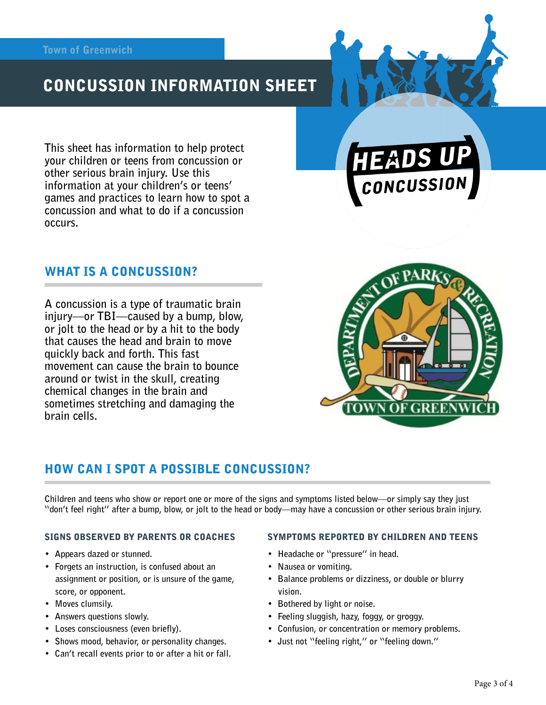# CONCUSSION INFORMATION SHEET

**This sheet has information to help protect your children or teens from concussion or other serious brain injury. Use this information at your children's or teens' games and practices to learn how to spot a concussion and what to do if a concussion occurs.** 

## WHAT IS A CONCUSSION?

**A concussion is a type of traumatic brain injury—or TBI—caused by a bump, blow, or jolt to the head or by a hit to the body that causes the head and brain to move quickly back and forth. This fast movement can cause the brain to bounce around or twist in the skull, creating chemical changes in the brain and sometimes stretching and damaging the brain cells.** 



CONCUSSION

## HOW CAN I SPOT A POSSIBLE CONCUSSION?

**Children and teens who show or report one or more of the signs and symptoms listed below—or simply say they just "don't feel right" after a bump, blow, or jolt to the head or body—may have a concussion or other serious brain injury.** 

#### SIGNS OBSERVED BY PARENTS OR COACHES

- **Appears dazed or stunned.**
- **Forgets an instruction, is confused about an assignment or position, or is unsure of the game, score, or opponent.**
- **Moves clumsily.**
- **Answers questions slowly.**
- **Loses consciousness (even briefly).**
- **Shows mood, behavior, or personality changes.**
- **Can't recall events prior to or after a hit or fall.**

#### SYMPTOMS REPORTED BY CHILDREN AND TEENS

- **Headache or "pressure" in head.**
- **Nausea or vomiting.**
- **Balance problems or dizziness, or double or blurry vision.**
- **Bothered by light or noise.**
- **Feeling sluggish, hazy, foggy, or groggy.**
- **Confusion, or concentration or memory problems.**
- **Just not "feeling right," or "feeling down."**